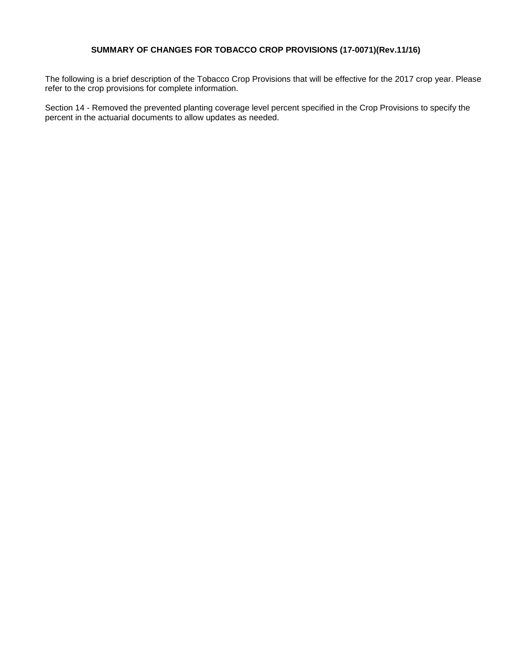## **SUMMARY OF CHANGES FOR TOBACCO CROP PROVISIONS (17-0071)(Rev.11/16)**

The following is a brief description of the Tobacco Crop Provisions that will be effective for the 2017 crop year. Please refer to the crop provisions for complete information.

Section 14 - Removed the prevented planting coverage level percent specified in the Crop Provisions to specify the percent in the actuarial documents to allow updates as needed.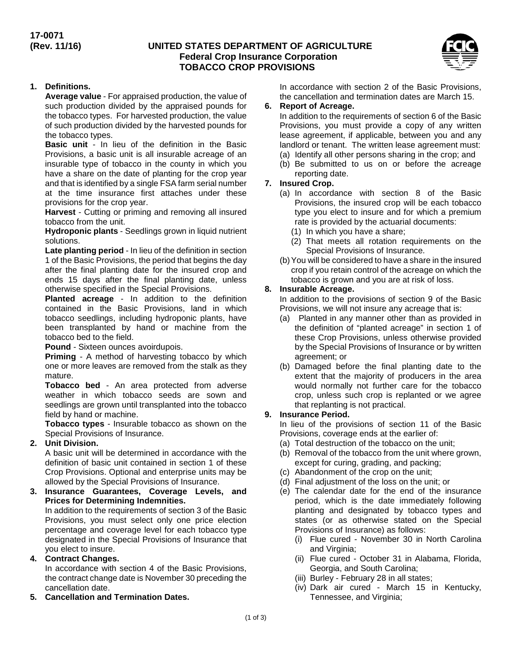# **UNITED STATES DEPARTMENT OF AGRICULTURE Federal Crop Insurance Corporation TOBACCO CROP PROVISIONS**



# **1. Definitions.**

**Average value** - For appraised production, the value of such production divided by the appraised pounds for the tobacco types. For harvested production, the value of such production divided by the harvested pounds for the tobacco types.

**Basic unit** - In lieu of the definition in the Basic Provisions, a basic unit is all insurable acreage of an insurable type of tobacco in the county in which you have a share on the date of planting for the crop year and that is identified by a single FSA farm serial number at the time insurance first attaches under these provisions for the crop year.

**Harvest** - Cutting or priming and removing all insured tobacco from the unit.

**Hydroponic plants** - Seedlings grown in liquid nutrient solutions.

**Late planting period** - In lieu of the definition in section 1 of the Basic Provisions, the period that begins the day after the final planting date for the insured crop and ends 15 days after the final planting date, unless otherwise specified in the Special Provisions.

**Planted acreage** - In addition to the definition contained in the Basic Provisions, land in which tobacco seedlings, including hydroponic plants, have been transplanted by hand or machine from the tobacco bed to the field.

**Pound** - Sixteen ounces avoirdupois.

**Priming** - A method of harvesting tobacco by which one or more leaves are removed from the stalk as they mature.

**Tobacco bed** - An area protected from adverse weather in which tobacco seeds are sown and seedlings are grown until transplanted into the tobacco field by hand or machine.

**Tobacco types** - Insurable tobacco as shown on the Special Provisions of Insurance.

## **2. Unit Division.**

A basic unit will be determined in accordance with the definition of basic unit contained in section 1 of these Crop Provisions. Optional and enterprise units may be allowed by the Special Provisions of Insurance.

**3. Insurance Guarantees, Coverage Levels, and Prices for Determining Indemnities.**

In addition to the requirements of section 3 of the Basic Provisions, you must select only one price election percentage and coverage level for each tobacco type designated in the Special Provisions of Insurance that you elect to insure.

## **4. Contract Changes.**

In accordance with section 4 of the Basic Provisions, the contract change date is November 30 preceding the cancellation date.

**5. Cancellation and Termination Dates.**

In accordance with section 2 of the Basic Provisions, the cancellation and termination dates are March 15.

#### **6. Report of Acreage.**

In addition to the requirements of section 6 of the Basic Provisions, you must provide a copy of any written lease agreement, if applicable, between you and any landlord or tenant. The written lease agreement must:

- (a) Identify all other persons sharing in the crop; and
- (b) Be submitted to us on or before the acreage reporting date.

#### **7. Insured Crop.**

- (a) In accordance with section 8 of the Basic Provisions, the insured crop will be each tobacco type you elect to insure and for which a premium rate is provided by the actuarial documents:
	- (1) In which you have a share;
	- (2) That meets all rotation requirements on the Special Provisions of Insurance.
- (b)You will be considered to have a share in the insured crop if you retain control of the acreage on which the tobacco is grown and you are at risk of loss.

# **8. Insurable Acreage.**

In addition to the provisions of section 9 of the Basic Provisions, we will not insure any acreage that is:

- (a) Planted in any manner other than as provided in the definition of "planted acreage" in section 1 of these Crop Provisions, unless otherwise provided by the Special Provisions of Insurance or by written agreement; or
- (b) Damaged before the final planting date to the extent that the majority of producers in the area would normally not further care for the tobacco crop, unless such crop is replanted or we agree that replanting is not practical.

# **9. Insurance Period.**

In lieu of the provisions of section 11 of the Basic Provisions, coverage ends at the earlier of:

- (a) Total destruction of the tobacco on the unit;
- (b) Removal of the tobacco from the unit where grown, except for curing, grading, and packing;
- (c) Abandonment of the crop on the unit;
- (d) Final adjustment of the loss on the unit; or
- (e) The calendar date for the end of the insurance period, which is the date immediately following planting and designated by tobacco types and states (or as otherwise stated on the Special Provisions of Insurance) as follows:
	- (i) Flue cured November 30 in North Carolina and Virginia;
	- (ii) Flue cured October 31 in Alabama, Florida, Georgia, and South Carolina;
	- (iii) Burley February 28 in all states;
	- (iv) Dark air cured March 15 in Kentucky, Tennessee, and Virginia;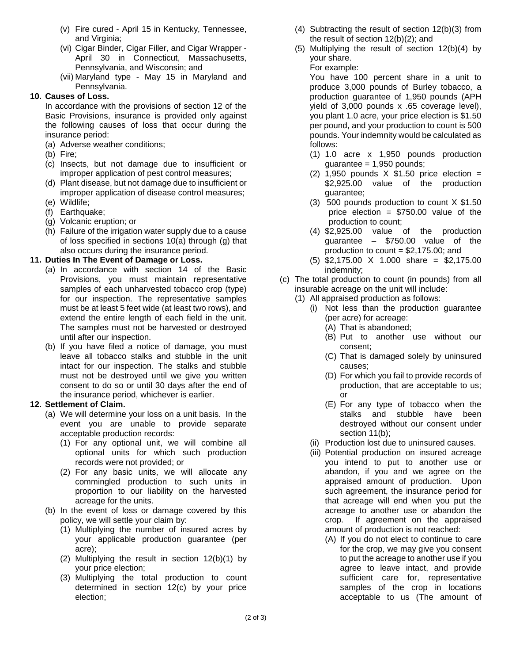- (v) Fire cured April 15 in Kentucky, Tennessee, and Virginia;
- (vi) Cigar Binder, Cigar Filler, and Cigar Wrapper April 30 in Connecticut, Massachusetts, Pennsylvania, and Wisconsin; and
- (vii) Maryland type May 15 in Maryland and Pennsylvania.

# **10. Causes of Loss.**

In accordance with the provisions of section 12 of the Basic Provisions, insurance is provided only against the following causes of loss that occur during the insurance period:

- (a) Adverse weather conditions;
- (b) Fire;
- (c) Insects, but not damage due to insufficient or improper application of pest control measures;
- (d) Plant disease, but not damage due to insufficient or improper application of disease control measures;
- (e) Wildlife;
- (f) Earthquake;
- (g) Volcanic eruption; or
- (h) Failure of the irrigation water supply due to a cause of loss specified in sections 10(a) through (g) that also occurs during the insurance period.

# **11. Duties In The Event of Damage or Loss.**

- (a) In accordance with section 14 of the Basic Provisions, you must maintain representative samples of each unharvested tobacco crop (type) for our inspection. The representative samples must be at least 5 feet wide (at least two rows), and extend the entire length of each field in the unit. The samples must not be harvested or destroyed until after our inspection.
- (b) If you have filed a notice of damage, you must leave all tobacco stalks and stubble in the unit intact for our inspection. The stalks and stubble must not be destroyed until we give you written consent to do so or until 30 days after the end of the insurance period, whichever is earlier.

## **12. Settlement of Claim.**

- (a) We will determine your loss on a unit basis. In the event you are unable to provide separate acceptable production records:
	- (1) For any optional unit, we will combine all optional units for which such production records were not provided; or
	- (2) For any basic units, we will allocate any commingled production to such units in proportion to our liability on the harvested acreage for the units.
- (b) In the event of loss or damage covered by this policy, we will settle your claim by:
	- (1) Multiplying the number of insured acres by your applicable production guarantee (per acre);
	- (2) Multiplying the result in section 12(b)(1) by your price election;
	- (3) Multiplying the total production to count determined in section 12(c) by your price election;
- (4) Subtracting the result of section 12(b)(3) from the result of section 12(b)(2); and
- (5) Multiplying the result of section 12(b)(4) by your share.

For example:

You have 100 percent share in a unit to produce 3,000 pounds of Burley tobacco, a production guarantee of 1,950 pounds (APH yield of 3,000 pounds x .65 coverage level), you plant 1.0 acre, your price election is \$1.50 per pound, and your production to count is 500 pounds. Your indemnity would be calculated as follows:

- (1) 1.0 acre x 1,950 pounds production  $guarantee = 1,950 pounds;$
- (2) 1,950 pounds  $X$  \$1.50 price election = \$2,925.00 value of the production guarantee;
- (3) 500 pounds production to count X \$1.50 price election = \$750.00 value of the production to count;
- (4) \$2,925.00 value of the production guarantee – \$750.00 value of the production to count =  $$2,175.00$ ; and
- (5) \$2,175.00 X 1.000 share = \$2,175.00 indemnity;
- (c) The total production to count (in pounds) from all insurable acreage on the unit will include:
	- (1) All appraised production as follows:
		- (i) Not less than the production guarantee (per acre) for acreage:
			- (A) That is abandoned;
			- (B) Put to another use without our consent;
			- (C) That is damaged solely by uninsured causes;
			- (D) For which you fail to provide records of production, that are acceptable to us; or
			- (E) For any type of tobacco when the stalks and stubble have been destroyed without our consent under section 11(b);
		- (ii) Production lost due to uninsured causes.
		- (iii) Potential production on insured acreage you intend to put to another use or abandon, if you and we agree on the appraised amount of production. Upon such agreement, the insurance period for that acreage will end when you put the acreage to another use or abandon the crop. If agreement on the appraised amount of production is not reached:
			- (A) If you do not elect to continue to care for the crop, we may give you consent to put the acreage to another use if you agree to leave intact, and provide sufficient care for, representative samples of the crop in locations acceptable to us (The amount of